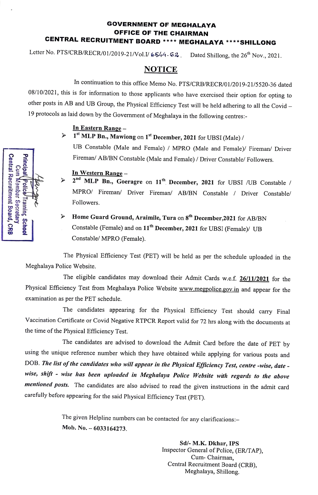## GOVERNMENT OF MEGHALAYA OFFICE OF THE CHAIRMAN CENTRAL RECRUITMENT BOARD \*\*\*\* MEGHALAYA\*\*\*\*SHILLONG

Letter No. PTS/CRB/RECR/01/2019-21/Vol.I/  $6544 - 62$ . Dated Shillong, the 26<sup>th</sup> Nov., 2021.

## NOTICE

In continuation to this office Memo No. PTS/CRB/RECR/01/2019-21/5520-36 dated 08/10/2021, this is for information to those applicants who have exercised their option for opting to other posts in AB and UB Group, the Physical Efficiency Test will be held adhering to all the Covid -19 protocols as laid down by the Government of Meghalaya in the following centres-

### In Eastern Range-

# $\geq 1^{st}$  MLP Bn., Mawiong on 1<sup>st</sup> December, 2021 for UBSI (Male) / UB Constable (Male and Female) / MPRO (Male and Female)/ Fireman/ Driver Fireman/ AB/BN Constable (Male and Female) / Driver Constable/ Followers.

#### In Western Range-

 $2^{nd}$  MLP Bn., Goeragre on  $11^{th}$  December, 2021 for UBSI /UB Constable /  $\prec$ MPRO/ Fireman/ Driver Fireman/ AB/BN Constable / Driver Constable/ Followers.

## $\triangleright$  Home Guard Ground, Araimile, Tura on 8<sup>th</sup> December.2021 for AB/BN Constable (Female) and on 11<sup>th</sup> December, 2021 for UBSI (Female)/ UB Constable/ MPRO (Female).

The Physical Efficiency Test (PET) will be held as per the schedule uploaded in the Meghalaya Police Website.

The eligible candidates may download their Admit Cards w.e.f. 26/11/2021 for the Physical Efficiency Test from Meghalaya Police Website www.megpolice.gov.in and appear for the examination as per the PET schedule.

The candidates appearing for the Physical Efficiency Test should carry Final Vaccination Certificate or Covid Negative RTPCR Report valid for 72 hrs along with the documents at the time of the Physical Efficiency Test.

The candidates are advised to download the Admit Card before the date of PET by using the unique reference number which they have obtained while applying for various posts and DOB. The list of the candidates who will appear in the Physical Efficiency Test, centre -wise, date wise, shift - wise has been uploaded in Meghalaya Police Website with regards to the above mentioned posts. The candidates are also advised to read the given instructions in the admit card carefully before appearing for the said Physical Efficiency Test (PET).

> The given Helpline numbers can be contacted for any clarifications: Mob. No. - 6033164273.

> > Sd/- M.K. Dkhar, IPS Inspector General of Police, (ER/TAP), Cum-Chairman, Central Recruitment Board (CRB), Meghalaya, Shillong.

| Central Recruitment Board, CRB<br>Cum Member Secretary | <b>Principal resting Scrool</b> | Benger |
|--------------------------------------------------------|---------------------------------|--------|
|                                                        |                                 |        |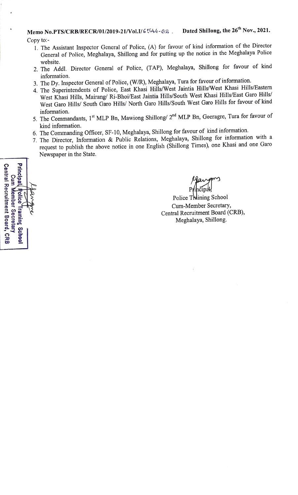- 1. The Assistant Inspector General of Police, (A) for favour of kind information of the Director General of Police, Meghalaya, Shillong and for putting up the notice in the Meghalaya Police website.
- 2. The Addl. Director General of Police, (TAP), Meghalaya, Shillong for favour of kind information.
- 3. The Dy. Inspector General of Police, (W/R), Meghalaya, Tura for favour of information.
- 4. The Superintendents of Police, East Khasi Hills/West Jaintia Hills/West Khasi Hills/Eastern West Khasi Hills, Mairang/ Ri-Bhoi/East Jaintia Hills/South West Khasi Hills/East Garo Hills/ West Garo Hills/ South Garo Hills/ North Garo Hills/South West Garo Hills for favour of kind information.
- 5. The Commandants, 1<sup>st</sup> MLP Bn, Mawiong Shillong/ 2<sup>nd</sup> MLP Bn, Goeragre, Tura for favour of kind information.
- 6. The Commanding Officer, SF-10, Meghalaya, Shillong for favour of kind information.
- 7. The Director, Information & Public Relations, Meghalaya, Shillong for information with a request to publish the above notice in one English (Shillong Times), one Khasi and one Garo Newspaper in the State.

Principal **Central Recruitment Board, CRB** Cum Member Secretar Police **Surune Schoo** 

Raw Principal,

Police Thdining School Cum-Member Secretary, Central Recruitment Board (CRB), Meghalaya, Shillong.